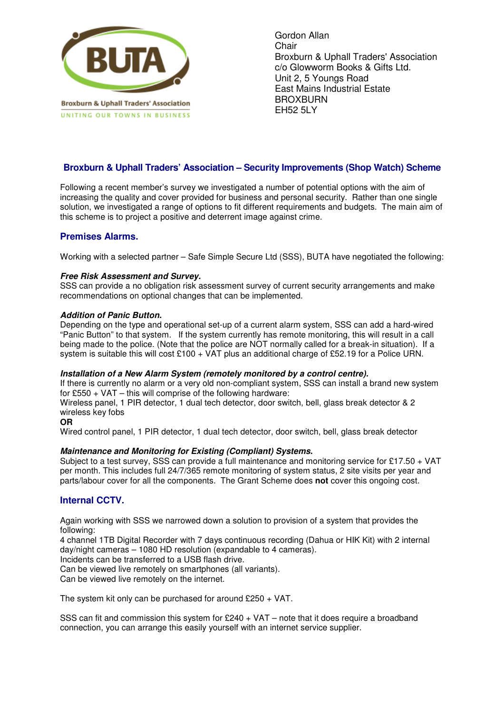

Gordon Allan Chair Broxburn & Uphall Traders' Association c/o Glowworm Books & Gifts Ltd. Unit 2, 5 Youngs Road East Mains Industrial Estate **BROXBURN** EH52 5LY

# **Broxburn & Uphall Traders' Association – Security Improvements (Shop Watch) Scheme**

Following a recent member's survey we investigated a number of potential options with the aim of increasing the quality and cover provided for business and personal security. Rather than one single solution, we investigated a range of options to fit different requirements and budgets. The main aim of this scheme is to project a positive and deterrent image against crime.

## **Premises Alarms.**

Working with a selected partner – Safe Simple Secure Ltd (SSS), BUTA have negotiated the following:

### **Free Risk Assessment and Survey.**

SSS can provide a no obligation risk assessment survey of current security arrangements and make recommendations on optional changes that can be implemented.

### **Addition of Panic Button.**

Depending on the type and operational set-up of a current alarm system, SSS can add a hard-wired "Panic Button" to that system. If the system currently has remote monitoring, this will result in a call being made to the police. (Note that the police are NOT normally called for a break-in situation). If a system is suitable this will cost £100 + VAT plus an additional charge of £52.19 for a Police URN.

#### **Installation of a New Alarm System (remotely monitored by a control centre).**

If there is currently no alarm or a very old non-compliant system, SSS can install a brand new system for £550 + VAT – this will comprise of the following hardware:

Wireless panel, 1 PIR detector, 1 dual tech detector, door switch, bell, glass break detector & 2 wireless key fobs

### **OR**

Wired control panel, 1 PIR detector, 1 dual tech detector, door switch, bell, glass break detector

## **Maintenance and Monitoring for Existing (Compliant) Systems.**

Subject to a test survey. SSS can provide a full maintenance and monitoring service for £17.50 + VAT per month. This includes full 24/7/365 remote monitoring of system status, 2 site visits per year and parts/labour cover for all the components. The Grant Scheme does **not** cover this ongoing cost.

## **Internal CCTV.**

Again working with SSS we narrowed down a solution to provision of a system that provides the following:

4 channel 1TB Digital Recorder with 7 days continuous recording (Dahua or HIK Kit) with 2 internal day/night cameras – 1080 HD resolution (expandable to 4 cameras).

Incidents can be transferred to a USB flash drive.

Can be viewed live remotely on smartphones (all variants).

Can be viewed live remotely on the internet.

The system kit only can be purchased for around £250 + VAT.

SSS can fit and commission this system for  $£240 + VAT -$  note that it does require a broadband connection, you can arrange this easily yourself with an internet service supplier.